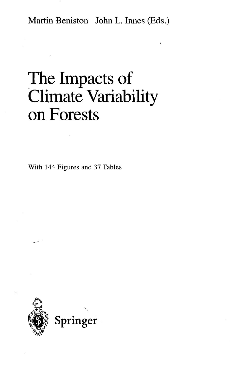Martin Beniston John L. Innes (Eds.)

## The Impacts of Climate Variability on Forests

With 144 Figures and 37 Tables

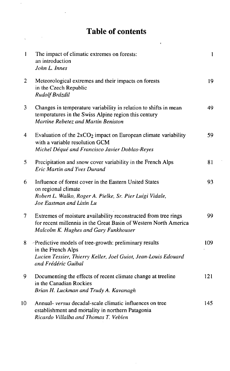## Table of contents

 $\bar{\pmb{\iota}}$ 

 $\hat{\boldsymbol{\cdot}$ 

 $\ddot{\phantom{0}}$ 

| $\mathbf{1}$   | The impact of climatic extremes on forests:<br>an introduction<br>John L. Innes                                                                                              | $\mathbf{1}$ |
|----------------|------------------------------------------------------------------------------------------------------------------------------------------------------------------------------|--------------|
| $\overline{c}$ | Meteorological extremes and their impacts on forests<br>in the Czech Republic<br>Rudolf Brázdil                                                                              | 19           |
| 3              | Changes in temperature variability in relation to shifts in mean<br>temperatures in the Swiss Alpine region this century<br>Martine Rebetez and Martin Beniston              | 49           |
| 4              | Evaluation of the $2xCO2$ impact on European climate variability<br>with a variable resolution GCM<br>Michel Déqué and Francisco Javier Doblas-Reyes                         | 59           |
| 5              | Precipitation and snow cover variability in the French Alps<br><b>Eric Martin and Yves Durand</b>                                                                            | 81           |
| 6              | Influence of forest cover in the Eastern United States<br>on regional climate<br>Robert L. Walko, Roger A. Pielke, Sr. Pier Luigi Vidale,<br>Joe Eastman and Lixin Lu        | 93           |
| 7              | Extremes of moisture availability reconstructed from tree rings<br>for recent millennia in the Great Basin of Western North America<br>Malcolm K. Hughes and Gary Funkhouser | 99           |
| 8              | -Predictive models of tree-growth: preliminary results<br>in the French Alps<br>Lucien Tessier, Thierry Keller, Joel Guiot, Jean-Louis Edouard<br>and Frédéric Guibal        | 109          |
| 9              | Documenting the effects of recent climate change at treeline<br>in the Canadian Rockies<br>Brian H. Luckman and Trudy A. Kavanagh                                            | 121          |
| 10             | Annual- versus decadal-scale climatic influences on tree<br>establishment and mortality in northern Patagonia<br>Ricardo Villalba and Thomas T. Veblen                       | 145          |

à.